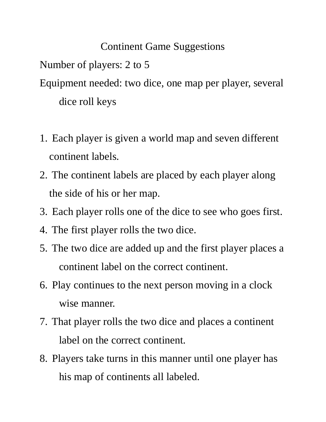## Continent Game Suggestions

Number of players: 2 to 5

Equipment needed: two dice, one map per player, several dice roll keys

- 1. Each player is given a world map and seven different continent labels.
- 2. The continent labels are placed by each player along the side of his or her map.
- 3. Each player rolls one of the dice to see who goes first.
- 4. The first player rolls the two dice.
- 5. The two dice are added up and the first player places a continent label on the correct continent.
- 6. Play continues to the next person moving in a clock wise manner.
- 7. That player rolls the two dice and places a continent label on the correct continent.
- 8. Players take turns in this manner until one player has his map of continents all labeled.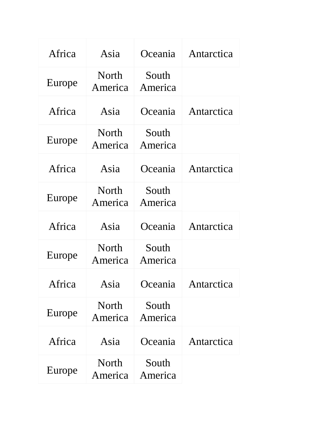| Africa | Asia                    | Oceania          | Antarctica |
|--------|-------------------------|------------------|------------|
| Europe | North<br>America        | South<br>America |            |
| Africa | Asia                    | Oceania          | Antarctica |
| Europe | North<br>America        | South<br>America |            |
| Africa | Asia                    | Oceania          | Antarctica |
| Europe | North<br>America        | South<br>America |            |
|        |                         |                  |            |
| Africa | Asia                    | Oceania          | Antarctica |
| Europe | <b>North</b><br>America | South<br>America |            |
| Africa | Asia                    | Oceania          | Antarctica |
| Europe | <b>North</b><br>America | South<br>America |            |
| Africa | Asia                    | Oceania          | Antarctica |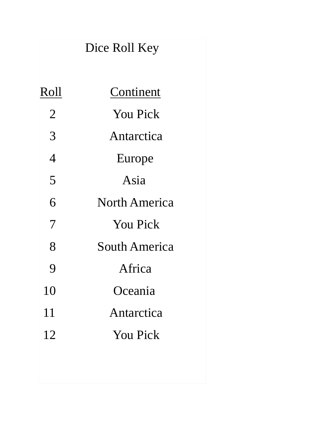|                | Dice Roll Key        |  |
|----------------|----------------------|--|
| Roll           | Continent            |  |
| $\overline{2}$ | <b>You Pick</b>      |  |
| 3              | Antarctica           |  |
| $\overline{4}$ | Europe               |  |
| 5              | Asia                 |  |
| 6              | <b>North America</b> |  |
| 7              | <b>You Pick</b>      |  |
| 8              | <b>South America</b> |  |
| 9              | Africa               |  |
| 10             | Oceania              |  |
| 11             | Antarctica           |  |
| 12             | <b>You Pick</b>      |  |
|                |                      |  |